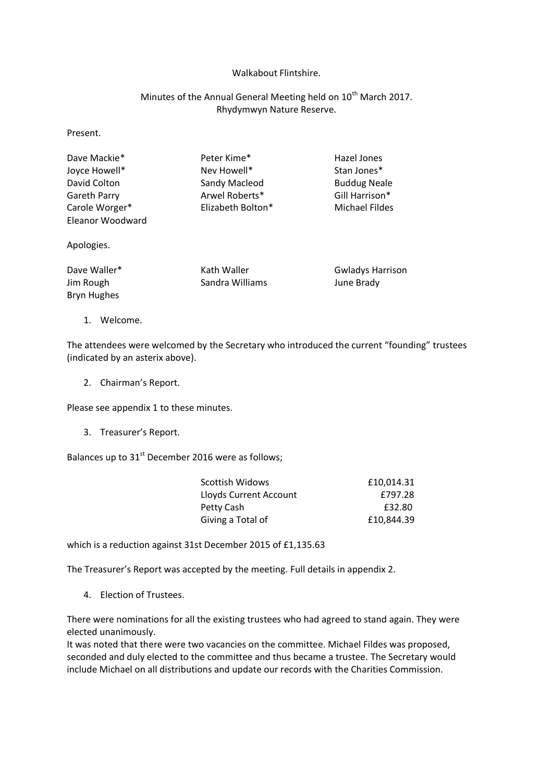## Walkabout Flintshire.

# Minutes of the Annual General Meeting held on 10<sup>th</sup> March 2017. Rhydymwyn Nature Reserve.

Present.

| Dave Mackie*<br>Joyce Howell*<br>David Colton   | Peter Kime*<br>Nev Howell*<br>Sandy Macleod | Hazel Jones<br>Stan Jones*<br><b>Buddug Neale</b> |
|-------------------------------------------------|---------------------------------------------|---------------------------------------------------|
| Gareth Parry                                    | Arwel Roberts*                              | Gill Harrison*                                    |
| Carole Worger*<br>Eleanor Woodward              | Elizabeth Bolton*                           | Michael Fildes                                    |
| Apologies.                                      |                                             |                                                   |
| Dave Waller*<br>Jim Rough<br><b>Bryn Hughes</b> | Kath Waller<br>Sandra Williams              | <b>Gwladys Harrison</b><br>June Brady             |

1. Welcome.

The attendees were welcomed by the Secretary who introduced the current "founding" trustees (indicated by an asterix above).

2. Chairman's Report.

Please see appendix 1 to these minutes.

3. Treasurer's Report.

Balances up to  $31<sup>st</sup>$  December 2016 were as follows;

| Scottish Widows        | £10,014.31 |
|------------------------|------------|
| Lloyds Current Account | £797.28    |
| Petty Cash             | £32.80     |
| Giving a Total of      | £10,844.39 |

which is a reduction against 31st December 2015 of £1,135.63

The Treasurer's Report was accepted by the meeting. Full details in appendix 2.

4. Election of Trustees.

There were nominations for all the existing trustees who had agreed to stand again. They were elected unanimously.

It was noted that there were two vacancies on the committee. Michael Fildes was proposed, seconded and duly elected to the committee and thus became a trustee. The Secretary would include Michael on all distributions and update our records with the Charities Commission.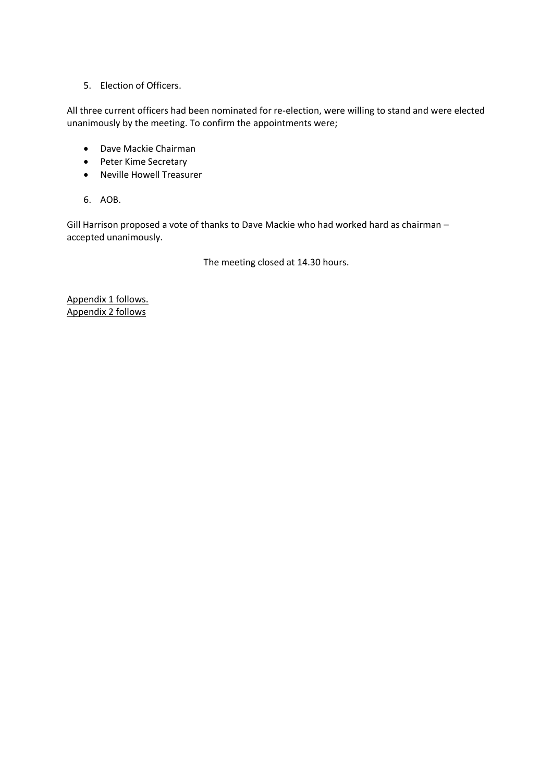5. Election of Officers.

All three current officers had been nominated for re-election, were willing to stand and were elected unanimously by the meeting. To confirm the appointments were;

- Dave Mackie Chairman
- Peter Kime Secretary
- Neville Howell Treasurer
- 6. AOB.

Gill Harrison proposed a vote of thanks to Dave Mackie who had worked hard as chairman – accepted unanimously.

The meeting closed at 14.30 hours.

Appendix 1 follows. Appendix 2 follows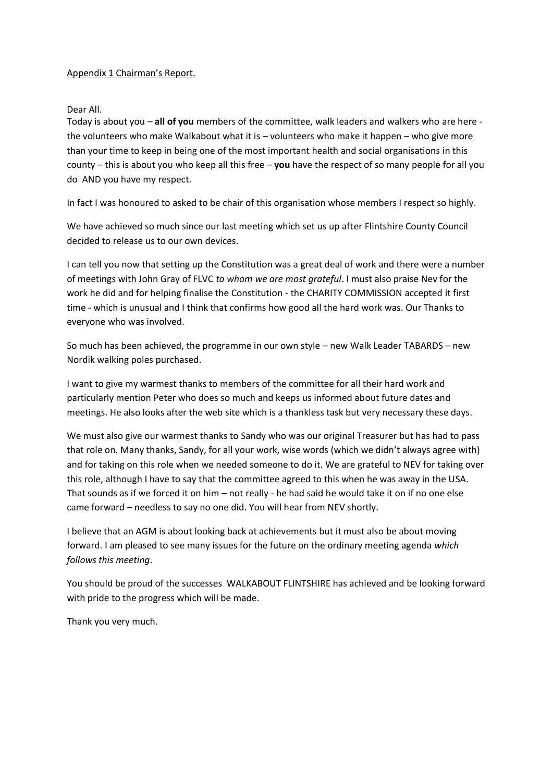## Appendix 1 Chairman's Report.

## Dear All.

Today is about you – **all of you** members of the committee, walk leaders and walkers who are here the volunteers who make Walkabout what it is – volunteers who make it happen – who give more than your time to keep in being one of the most important health and social organisations in this county – this is about you who keep all this free – **you** have the respect of so many people for all you do AND you have my respect.

In fact I was honoured to asked to be chair of this organisation whose members I respect so highly.

We have achieved so much since our last meeting which set us up after Flintshire County Council decided to release us to our own devices.

I can tell you now that setting up the Constitution was a great deal of work and there were a number of meetings with John Gray of FLVC *to whom we are most grateful*. I must also praise Nev for the work he did and for helping finalise the Constitution - the CHARITY COMMISSION accepted it first time - which is unusual and I think that confirms how good all the hard work was. Our Thanks to everyone who was involved.

So much has been achieved, the programme in our own style – new Walk Leader TABARDS – new Nordik walking poles purchased.

I want to give my warmest thanks to members of the committee for all their hard work and particularly mention Peter who does so much and keeps us informed about future dates and meetings. He also looks after the web site which is a thankless task but very necessary these days.

We must also give our warmest thanks to Sandy who was our original Treasurer but has had to pass that role on. Many thanks, Sandy, for all your work, wise words (which we didn't always agree with) and for taking on this role when we needed someone to do it. We are grateful to NEV for taking over this role, although I have to say that the committee agreed to this when he was away in the USA. That sounds as if we forced it on him – not really - he had said he would take it on if no one else came forward – needless to say no one did. You will hear from NEV shortly.

I believe that an AGM is about looking back at achievements but it must also be about moving forward. I am pleased to see many issues for the future on the ordinary meeting agenda *which follows this meeting*.

You should be proud of the successes WALKABOUT FLINTSHIRE has achieved and be looking forward with pride to the progress which will be made.

Thank you very much.